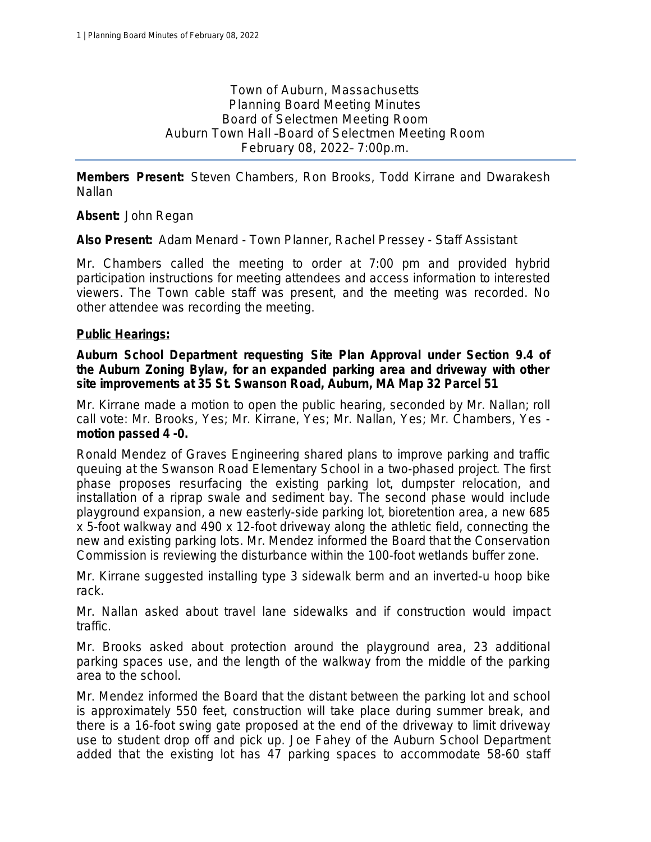Town of Auburn, Massachusetts Planning Board Meeting Minutes Board of Selectmen Meeting Room Auburn Town Hall –Board of Selectmen Meeting Room February 08, 2022– 7:00p.m.

**Members Present:** Steven Chambers, Ron Brooks, Todd Kirrane and Dwarakesh Nallan

**Absent:** John Regan

**Also Present:** Adam Menard - Town Planner, Rachel Pressey - Staff Assistant

Mr. Chambers called the meeting to order at 7:00 pm and provided hybrid participation instructions for meeting attendees and access information to interested viewers. The Town cable staff was present, and the meeting was recorded. No other attendee was recording the meeting.

#### **Public Hearings:**

**Auburn School Department requesting Site Plan Approval under Section 9.4 of the Auburn Zoning Bylaw, for an expanded parking area and driveway with other site improvements at 35 St. Swanson Road, Auburn, MA Map 32 Parcel 51**

Mr. Kirrane made a motion to open the public hearing, seconded by Mr. Nallan; *roll call vote: Mr. Brooks, Yes; Mr. Kirrane, Yes; Mr. Nallan, Yes; Mr. Chambers, Yes motion passed 4 -0.*

Ronald Mendez of Graves Engineering shared plans to improve parking and traffic queuing at the Swanson Road Elementary School in a two-phased project. The first phase proposes resurfacing the existing parking lot, dumpster relocation, and installation of a riprap swale and sediment bay. The second phase would include playground expansion, a new easterly-side parking lot, bioretention area, a new 685 x 5-foot walkway and 490 x 12-foot driveway along the athletic field, connecting the new and existing parking lots. Mr. Mendez informed the Board that the Conservation Commission is reviewing the disturbance within the 100-foot wetlands buffer zone.

Mr. Kirrane suggested installing type 3 sidewalk berm and an inverted-u hoop bike rack.

Mr. Nallan asked about travel lane sidewalks and if construction would impact traffic.

Mr. Brooks asked about protection around the playground area, 23 additional parking spaces use, and the length of the walkway from the middle of the parking area to the school.

Mr. Mendez informed the Board that the distant between the parking lot and school is approximately 550 feet, construction will take place during summer break, and there is a 16-foot swing gate proposed at the end of the driveway to limit driveway use to student drop off and pick up. Joe Fahey of the Auburn School Department added that the existing lot has 47 parking spaces to accommodate 58-60 staff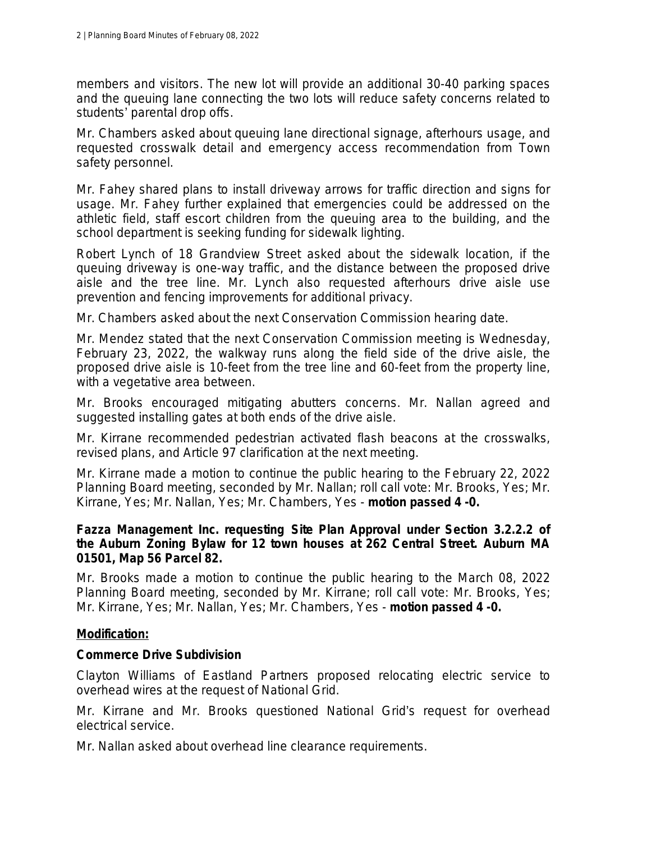members and visitors. The new lot will provide an additional 30-40 parking spaces and the queuing lane connecting the two lots will reduce safety concerns related to students' parental drop offs.

Mr. Chambers asked about queuing lane directional signage, afterhours usage, and requested crosswalk detail and emergency access recommendation from Town safety personnel.

Mr. Fahey shared plans to install driveway arrows for traffic direction and signs for usage. Mr. Fahey further explained that emergencies could be addressed on the athletic field, staff escort children from the queuing area to the building, and the school department is seeking funding for sidewalk lighting.

Robert Lynch of 18 Grandview Street asked about the sidewalk location, if the queuing driveway is one-way traffic, and the distance between the proposed drive aisle and the tree line. Mr. Lynch also requested afterhours drive aisle use prevention and fencing improvements for additional privacy.

Mr. Chambers asked about the next Conservation Commission hearing date.

Mr. Mendez stated that the next Conservation Commission meeting is Wednesday, February 23, 2022, the walkway runs along the field side of the drive aisle, the proposed drive aisle is 10-feet from the tree line and 60-feet from the property line, with a vegetative area between.

Mr. Brooks encouraged mitigating abutters concerns. Mr. Nallan agreed and suggested installing gates at both ends of the drive aisle.

Mr. Kirrane recommended pedestrian activated flash beacons at the crosswalks, revised plans, and Article 97 clarification at the next meeting.

Mr. Kirrane made a motion to continue the public hearing to the February 22, 2022 Planning Board meeting, seconded by Mr. Nallan; *roll call vote: Mr. Brooks, Yes; Mr. Kirrane, Yes; Mr. Nallan, Yes; Mr. Chambers, Yes* - *motion passed 4 -0.*

#### **Fazza Management Inc. requesting Site Plan Approval under Section 3.2.2.2 of the Auburn Zoning Bylaw for 12 town houses at 262 Central Street. Auburn MA 01501, Map 56 Parcel 82.**

Mr. Brooks made a motion to continue the public hearing to the March 08, 2022 Planning Board meeting, seconded by Mr. Kirrane; *roll call vote: Mr. Brooks, Yes; Mr. Kirrane, Yes; Mr. Nallan, Yes; Mr. Chambers, Yes* - *motion passed 4 -0.*

### **Modification:**

### **Commerce Drive Subdivision**

Clayton Williams of Eastland Partners proposed relocating electric service to overhead wires at the request of National Grid.

Mr. Kirrane and Mr. Brooks questioned National Grid's request for overhead electrical service.

Mr. Nallan asked about overhead line clearance requirements.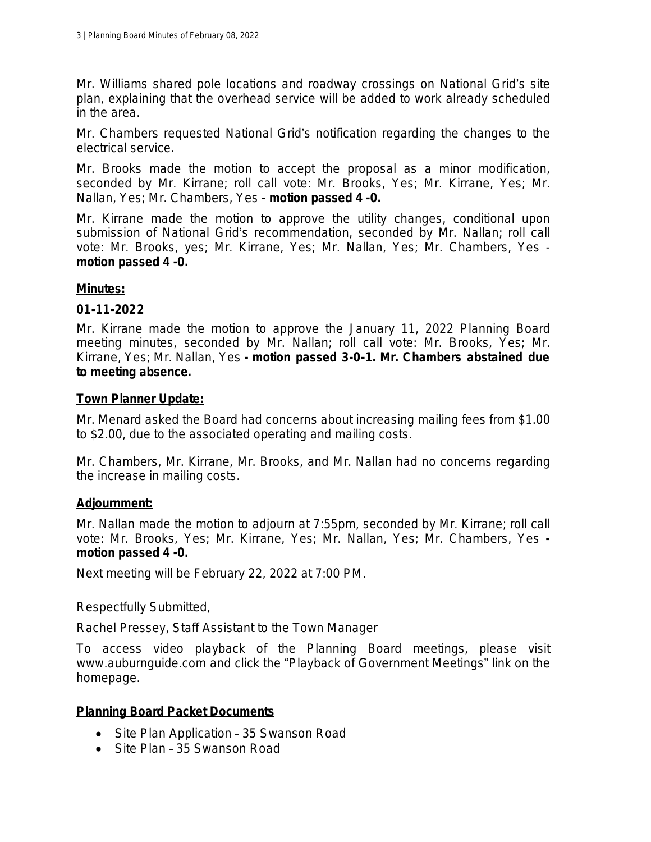Mr. Williams shared pole locations and roadway crossings on National Grid's site plan, explaining that the overhead service will be added to work already scheduled in the area.

Mr. Chambers requested National Grid's notification regarding the changes to the electrical service.

Mr. Brooks made the motion to accept the proposal as a minor modification, seconded by Mr. Kirrane; *roll call vote: Mr. Brooks, Yes; Mr. Kirrane, Yes; Mr. Nallan, Yes; Mr. Chambers, Yes* - *motion passed 4 -0.*

Mr. Kirrane made the motion to approve the utility changes, conditional upon submission of National Grid's recommendation, seconded by Mr. Nallan; *roll call vote: Mr. Brooks, yes; Mr. Kirrane, Yes; Mr. Nallan, Yes; Mr. Chambers, Yes motion passed 4 -0.*

## **Minutes:**

## **01-11-2022**

Mr. Kirrane made the motion to approve the January 11, 2022 Planning Board meeting minutes, seconded by Mr. Nallan; *roll call vote: Mr. Brooks, Yes; Mr. Kirrane, Yes; Mr. Nallan, Yes - motion passed 3-0-1. Mr. Chambers abstained due to meeting absence.*

## **Town Planner Update:**

Mr. Menard asked the Board had concerns about increasing mailing fees from \$1.00 to \$2.00, due to the associated operating and mailing costs.

Mr. Chambers, Mr. Kirrane, Mr. Brooks, and Mr. Nallan had no concerns regarding the increase in mailing costs.

# **Adjournment:**

Mr. Nallan made the motion to adjourn at 7:55pm, seconded by Mr. Kirrane; *roll call vote: Mr. Brooks, Yes; Mr. Kirrane, Yes; Mr. Nallan, Yes; Mr. Chambers, Yes motion passed 4 -0.*

Next meeting will be February 22, 2022 at 7:00 PM.

Respectfully Submitted,

Rachel Pressey, Staff Assistant to the Town Manager

To access video playback of the Planning Board meetings, please visit www.auburnguide.com and click the "Playback of Government Meetings" link on the homepage.

# **Planning Board Packet Documents**

- Site Plan Application 35 Swanson Road
- Site Plan 35 Swanson Road